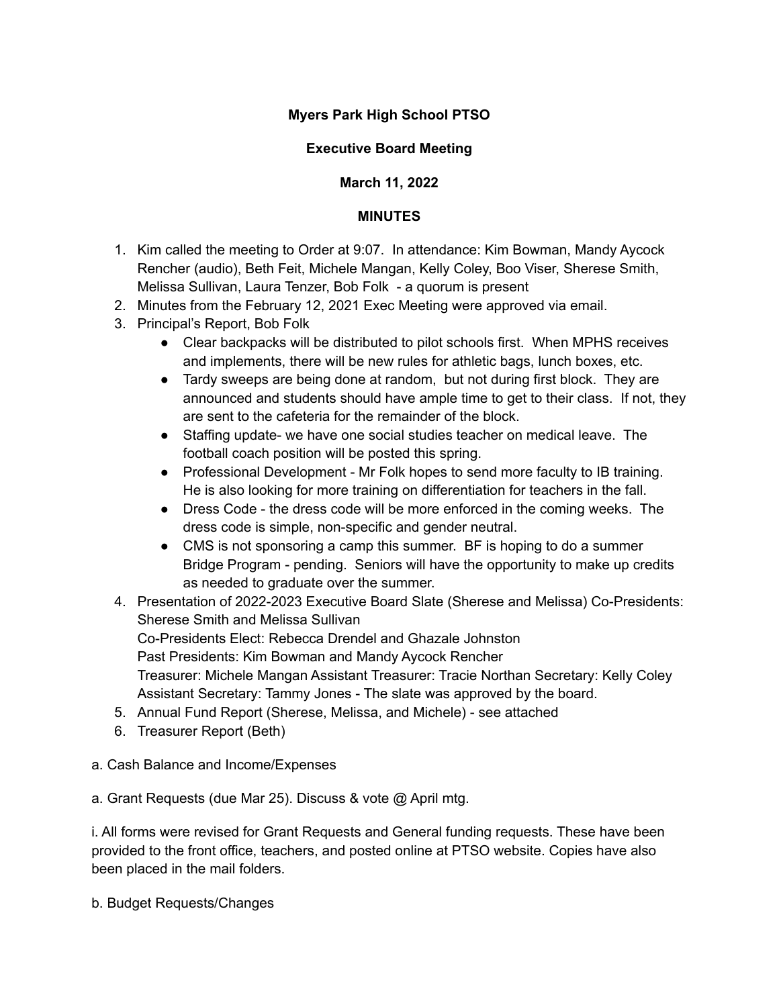# **Myers Park High School PTSO**

# **Executive Board Meeting**

# **March 11, 2022**

# **MINUTES**

- 1. Kim called the meeting to Order at 9:07. In attendance: Kim Bowman, Mandy Aycock Rencher (audio), Beth Feit, Michele Mangan, Kelly Coley, Boo Viser, Sherese Smith, Melissa Sullivan, Laura Tenzer, Bob Folk - a quorum is present
- 2. Minutes from the February 12, 2021 Exec Meeting were approved via email.
- 3. Principal's Report, Bob Folk
	- Clear backpacks will be distributed to pilot schools first. When MPHS receives and implements, there will be new rules for athletic bags, lunch boxes, etc.
	- Tardy sweeps are being done at random, but not during first block. They are announced and students should have ample time to get to their class. If not, they are sent to the cafeteria for the remainder of the block.
	- Staffing update- we have one social studies teacher on medical leave. The football coach position will be posted this spring.
	- Professional Development Mr Folk hopes to send more faculty to IB training. He is also looking for more training on differentiation for teachers in the fall.
	- Dress Code the dress code will be more enforced in the coming weeks. The dress code is simple, non-specific and gender neutral.
	- CMS is not sponsoring a camp this summer. BF is hoping to do a summer Bridge Program - pending. Seniors will have the opportunity to make up credits as needed to graduate over the summer.
- 4. Presentation of 2022-2023 Executive Board Slate (Sherese and Melissa) Co-Presidents: Sherese Smith and Melissa Sullivan Co-Presidents Elect: Rebecca Drendel and Ghazale Johnston Past Presidents: Kim Bowman and Mandy Aycock Rencher Treasurer: Michele Mangan Assistant Treasurer: Tracie Northan Secretary: Kelly Coley Assistant Secretary: Tammy Jones - The slate was approved by the board.
- 5. Annual Fund Report (Sherese, Melissa, and Michele) see attached
- 6. Treasurer Report (Beth)
- a. Cash Balance and Income/Expenses
- a. Grant Requests (due Mar 25). Discuss & vote @ April mtg.

i. All forms were revised for Grant Requests and General funding requests. These have been provided to the front office, teachers, and posted online at PTSO website. Copies have also been placed in the mail folders.

b. Budget Requests/Changes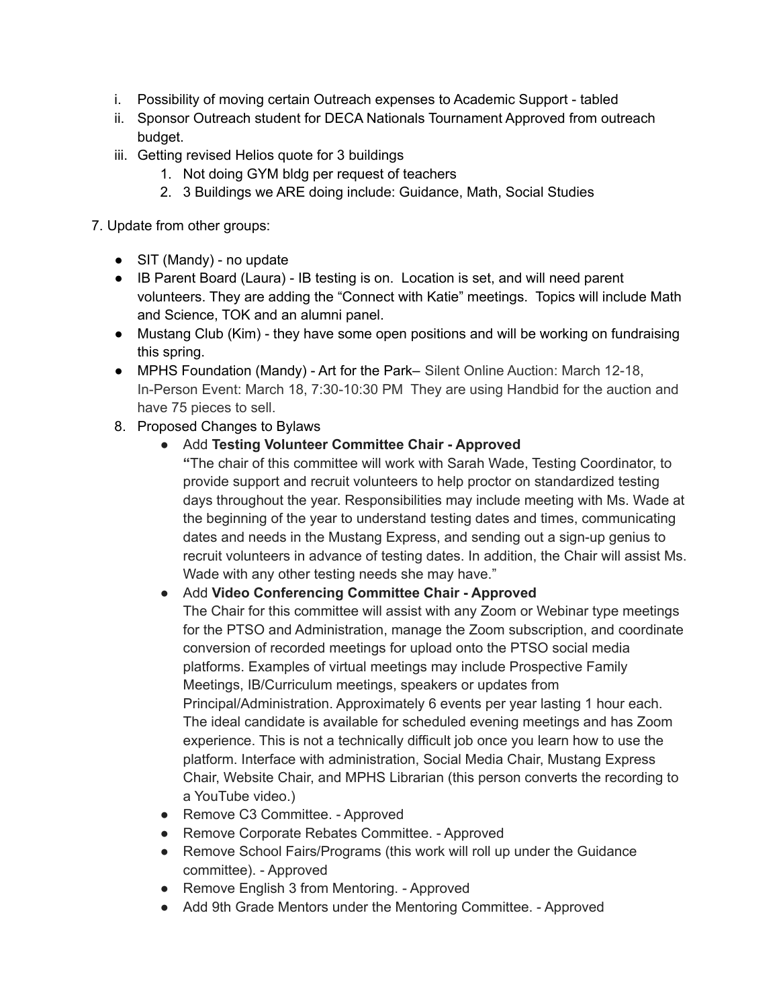- i. Possibility of moving certain Outreach expenses to Academic Support tabled
- ii. Sponsor Outreach student for DECA Nationals Tournament Approved from outreach budget.
- iii. Getting revised Helios quote for 3 buildings
	- 1. Not doing GYM bldg per request of teachers
	- 2. 3 Buildings we ARE doing include: Guidance, Math, Social Studies

7. Update from other groups:

- SIT (Mandy) no update
- IB Parent Board (Laura) IB testing is on. Location is set, and will need parent volunteers. They are adding the "Connect with Katie" meetings. Topics will include Math and Science, TOK and an alumni panel.
- Mustang Club (Kim) they have some open positions and will be working on fundraising this spring.
- MPHS Foundation (Mandy) Art for the Park– Silent Online Auction: March 12-18, In-Person Event: March 18, 7:30-10:30 PM They are using Handbid for the auction and have 75 pieces to sell.
- 8. Proposed Changes to Bylaws
	- Add **Testing Volunteer Committee Chair - Approved**

**"**The chair of this committee will work with Sarah Wade, Testing Coordinator, to provide support and recruit volunteers to help proctor on standardized testing days throughout the year. Responsibilities may include meeting with Ms. Wade at the beginning of the year to understand testing dates and times, communicating dates and needs in the Mustang Express, and sending out a sign-up genius to recruit volunteers in advance of testing dates. In addition, the Chair will assist Ms. Wade with any other testing needs she may have."

## ● Add **Video Conferencing Committee Chair - Approved**

The Chair for this committee will assist with any Zoom or Webinar type meetings for the PTSO and Administration, manage the Zoom subscription, and coordinate conversion of recorded meetings for upload onto the PTSO social media platforms. Examples of virtual meetings may include Prospective Family Meetings, IB/Curriculum meetings, speakers or updates from Principal/Administration. Approximately 6 events per year lasting 1 hour each. The ideal candidate is available for scheduled evening meetings and has Zoom experience. This is not a technically difficult job once you learn how to use the platform. Interface with administration, Social Media Chair, Mustang Express Chair, Website Chair, and MPHS Librarian (this person converts the recording to a YouTube video.)

- Remove C3 Committee. Approved
- Remove Corporate Rebates Committee. Approved
- Remove School Fairs/Programs (this work will roll up under the Guidance committee). - Approved
- Remove English 3 from Mentoring. Approved
- Add 9th Grade Mentors under the Mentoring Committee. Approved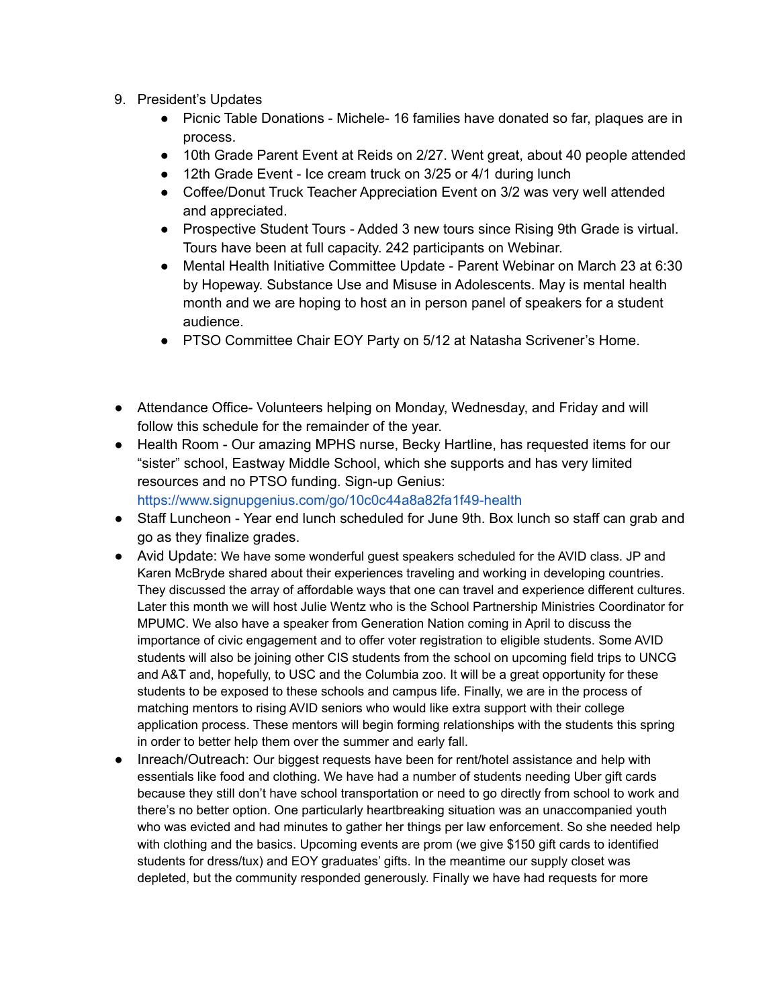- 9. President's Updates
	- Picnic Table Donations Michele- 16 families have donated so far, plaques are in process.
	- 10th Grade Parent Event at Reids on 2/27. Went great, about 40 people attended
	- 12th Grade Event Ice cream truck on 3/25 or 4/1 during lunch
	- Coffee/Donut Truck Teacher Appreciation Event on 3/2 was very well attended and appreciated.
	- Prospective Student Tours Added 3 new tours since Rising 9th Grade is virtual. Tours have been at full capacity. 242 participants on Webinar.
	- Mental Health Initiative Committee Update Parent Webinar on March 23 at 6:30 by Hopeway. Substance Use and Misuse in Adolescents. May is mental health month and we are hoping to host an in person panel of speakers for a student audience.
	- PTSO Committee Chair EOY Party on 5/12 at Natasha Scrivener's Home.
- Attendance Office- Volunteers helping on Monday, Wednesday, and Friday and will follow this schedule for the remainder of the year.
- Health Room Our amazing MPHS nurse, Becky Hartline, has requested items for our "sister" school, Eastway Middle School, which she supports and has very limited resources and no PTSO funding. Sign-up Genius:

https://www.signupgenius.com/go/10c0c44a8a82fa1f49-health

- Staff Luncheon Year end lunch scheduled for June 9th. Box lunch so staff can grab and go as they finalize grades.
- Avid Update: We have some wonderful guest speakers scheduled for the AVID class. JP and Karen McBryde shared about their experiences traveling and working in developing countries. They discussed the array of affordable ways that one can travel and experience different cultures. Later this month we will host Julie Wentz who is the School Partnership Ministries Coordinator for MPUMC. We also have a speaker from Generation Nation coming in April to discuss the importance of civic engagement and to offer voter registration to eligible students. Some AVID students will also be joining other CIS students from the school on upcoming field trips to UNCG and A&T and, hopefully, to USC and the Columbia zoo. It will be a great opportunity for these students to be exposed to these schools and campus life. Finally, we are in the process of matching mentors to rising AVID seniors who would like extra support with their college application process. These mentors will begin forming relationships with the students this spring in order to better help them over the summer and early fall.
- Inreach/Outreach: Our biggest requests have been for rent/hotel assistance and help with essentials like food and clothing. We have had a number of students needing Uber gift cards because they still don't have school transportation or need to go directly from school to work and there's no better option. One particularly heartbreaking situation was an unaccompanied youth who was evicted and had minutes to gather her things per law enforcement. So she needed help with clothing and the basics. Upcoming events are prom (we give \$150 gift cards to identified students for dress/tux) and EOY graduates' gifts. In the meantime our supply closet was depleted, but the community responded generously. Finally we have had requests for more